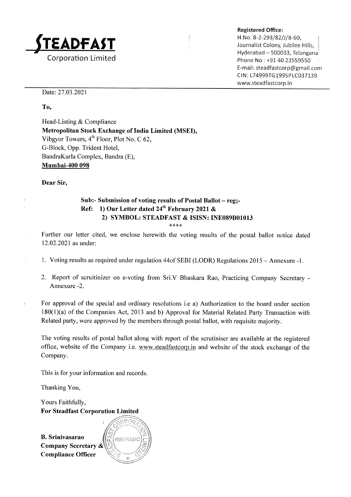

#### Registered Office:

H. No. 8-2-293/82/J/B-60, Journalist Colony, Jubilee Hills, Hyderabad - 500033, Telangana Phone No : +91 40 23559550 E-ma il: steadfastcorp@gmail.com CIN: L74999TG1995PLC037139 www.steadfastcorp.in

Date: 27.03.2021

To,

Head-Listing & Compliance Metropolitan Stock Exchange of India Limited (MSEI), Vibgyor Towers, 4<sup>th</sup> Floor, Plot No. C 62, G-Block, Opp. Trident Hotel, BandraKurla Complex, Bandra (E), Mumbai-400 098

Dear Sir,

# Sub:- Submission of voting results of Postal Ballot - reg;-Ref: 1) Our Letter dated  $24^{th}$  February 2021 & 2) SYMBOL: STEADFAST & ISISN: INE089B01013

\*\*\*\*

Further. our letter cited, we enclose herewith the voting results of the postal ballot notice dated 12.02.2021as under:

- 1. Voting results as required under regulation 44of SEBI (LODR) Regulations 2015 Annexure -1.
- 2. Report of scruitinizer on e-voting from Sri.V Bhaskara Rao, Practicing Company Secretary Annexure -2

For approval of the special and ordinary resolutions i.e a) Authorization to the board under section 180(1)(a) of the Companies Act, 2013 and b) Approval for Material Related Party Transaction with Related party, were approved by the members through postal ballot, with requisite majority.

The voting results of postal ballot along with report of the scrutiniser are available at the registered office, website of the Company i.e. www.steadfastcorp.in and website of the stock exchange of the Company.

This is for your information and records

Thanking You,

Yours Faithfully, For Steadfast Corporation Limited

B. Srinivasarao Company Secretary & Compliance Officer \*

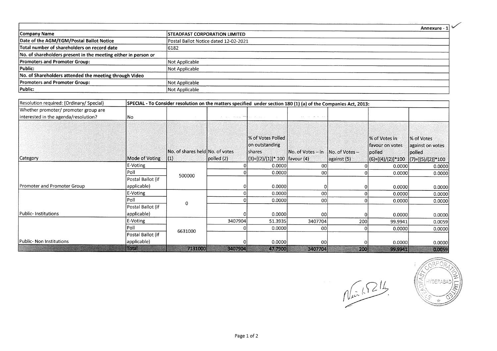|                                                                |                                       | Annexure - |
|----------------------------------------------------------------|---------------------------------------|------------|
| Company Name                                                   | <b>ISTEADFAST CORPORATION LIMITED</b> |            |
| Date of the AGM/EGM/Postal Ballot Notice                       | Postal Ballot Notice dated 12-02-2021 |            |
| Total number of shareholders on record date                    | 6182                                  |            |
| No. of shareholders present in the meeting either in person or |                                       |            |
| <b>Promoters and Promoter Group:</b>                           | Not Applicable                        |            |
| Public:                                                        | Not Applicable                        |            |
| No. of Shareholders attended the meeting through Video         |                                       |            |
| <b>Promoters and Promoter Group:</b>                           | Not Applicable                        |            |
| Public:                                                        | Not Applicable                        |            |

| Resolution required: (Ordinary/ Special) |                   | SPECIAL - To Consider resolution on the matters specified under section 180 (1) (a) of the Companies Act, 2013: |            |                                                            |                   |                 |                                            |                                                 |  |  |  |
|------------------------------------------|-------------------|-----------------------------------------------------------------------------------------------------------------|------------|------------------------------------------------------------|-------------------|-----------------|--------------------------------------------|-------------------------------------------------|--|--|--|
| Whether promoter/ promoter group are     |                   |                                                                                                                 |            |                                                            |                   |                 |                                            |                                                 |  |  |  |
| interested in the agenda/resolution?     | lNo.              |                                                                                                                 |            |                                                            |                   |                 |                                            |                                                 |  |  |  |
|                                          |                   |                                                                                                                 |            |                                                            |                   |                 |                                            |                                                 |  |  |  |
|                                          |                   | INo. of shares heldINo. of votes                                                                                |            | <b>Wof Votes Polled</b><br>on outstanding<br><b>Shares</b> | No. of Votes – in | INo. of Votes - | % of Votes in<br>favour on votes<br>polled | % of Votes<br>against on votes<br><b>polled</b> |  |  |  |
| Category                                 | Mode of Voting    | $\vert(1)$                                                                                                      | polled (2) | (3)=[(2)/(1)]* 100  favour (4)                             |                   | against (5)     | (6)=[(4)/(2)]*100                          | $(7)=[(5)/(2)]*100$                             |  |  |  |
|                                          | E-Voting          |                                                                                                                 |            | 0.0000                                                     | 00                |                 | 0.0000                                     | 0.0000                                          |  |  |  |
|                                          | Poll              | 500000                                                                                                          |            | 0.0000                                                     | 00                |                 | 0.0000                                     | 0.0000                                          |  |  |  |
|                                          | Postal Ballot (if |                                                                                                                 |            |                                                            |                   |                 |                                            |                                                 |  |  |  |
| Promoter and Promoter Group              | applicable)       |                                                                                                                 |            | 0.0000                                                     |                   |                 | 0.0000                                     | 0.0000                                          |  |  |  |
|                                          | E-Voting          |                                                                                                                 |            | 0.0000                                                     | 00 <sub>1</sub>   |                 | 0.0000                                     | 0.0000                                          |  |  |  |
|                                          | Poll              |                                                                                                                 |            | 0.0000                                                     | 00                |                 | 0.0000                                     | 0.0000                                          |  |  |  |
|                                          | Postal Ballot (if |                                                                                                                 |            |                                                            |                   |                 |                                            |                                                 |  |  |  |
| Public- Institutions                     | applicable)       |                                                                                                                 |            | 0.0000                                                     | 00l               |                 | 0.0000                                     | 0.0000                                          |  |  |  |
|                                          | E-Voting          |                                                                                                                 | 3407904    | 51.3935                                                    | 3407704           | 200             | 99.9941                                    | 0.0059                                          |  |  |  |
|                                          | Poll              | 6631000                                                                                                         |            | 0.0000                                                     | <sub>00</sub>     |                 | 0.0000                                     | 0.0000                                          |  |  |  |
|                                          | Postal Ballot (if |                                                                                                                 |            |                                                            |                   |                 |                                            |                                                 |  |  |  |
| Public- Non Institutions                 | applicable)       |                                                                                                                 |            | 0.0000                                                     | 00l               |                 | 0.0000                                     | 0.0000                                          |  |  |  |
|                                          | Total             | 7131000                                                                                                         | 3407904    | 47.7900                                                    | 3407704           | 200             | 999941                                     | 0,0059                                          |  |  |  |

 $\int_{\mu\mathcal{M}}\frac{1}{\mu}\int_{-\infty}^{\infty}$ 

f. rrj Ź  $_1$  TYDERABAD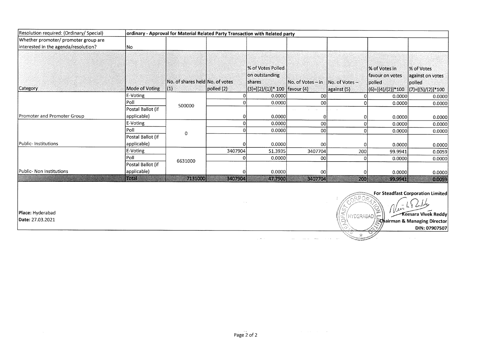| Resolution required: (Ordinary/ Special) | ordinary - Approval for Material Related Party Transaction with Related party |                                                    |            |                                                                                          |                                    |                          |                                                                      |                                                                 |  |
|------------------------------------------|-------------------------------------------------------------------------------|----------------------------------------------------|------------|------------------------------------------------------------------------------------------|------------------------------------|--------------------------|----------------------------------------------------------------------|-----------------------------------------------------------------|--|
| Whether promoter/ promoter group are     |                                                                               |                                                    |            |                                                                                          |                                    |                          |                                                                      |                                                                 |  |
| interested in the agenda/resolution?     | No                                                                            |                                                    |            |                                                                                          |                                    |                          |                                                                      |                                                                 |  |
| Category                                 | Mode of Voting                                                                | No. of shares held No. of votes<br>$\vert(1)\vert$ | polled (2) | % of Votes Polled<br>on outstanding<br><b>Ishares</b><br> (3)=[(2)/(1)]* 100  favour (4) | No. of Votes – in   No. of Votes – | $\sqrt{2}$ against $(5)$ | l% of Votes in<br>lfavour on votes<br>lpolled<br>$(6)=[(4)/(2)]*100$ | % of Votes<br>against on votes<br>polled<br>$(7)=[(5)/(2)]*100$ |  |
|                                          | E-Voting                                                                      |                                                    |            | 0.0000                                                                                   | 00 <sup>1</sup>                    | ΩI                       | 0.0000                                                               | 0.0000                                                          |  |
|                                          | Poll                                                                          | 500000                                             |            | 0.0000                                                                                   | ool                                | ΩI                       | 0.0000                                                               | 0.0000                                                          |  |
|                                          | Postal Ballot (if                                                             |                                                    |            |                                                                                          |                                    |                          |                                                                      |                                                                 |  |
| Promoter and Promoter Group              | applicable)                                                                   |                                                    |            | 0.0000                                                                                   | 01                                 | 01                       | 0.0000                                                               | 0.0000                                                          |  |
|                                          | E-Voting                                                                      |                                                    |            | 0.0000                                                                                   | 00                                 | 0                        | 0.0000                                                               | 0.0000                                                          |  |
|                                          | Poll                                                                          | 0                                                  |            | 0.0000                                                                                   | 00 <sup>1</sup>                    | $\Omega$                 | 0.0000                                                               | 0.0000                                                          |  |
|                                          | Postal Ballot (if                                                             |                                                    |            |                                                                                          |                                    |                          |                                                                      |                                                                 |  |
| Public-Institutions                      | applicable)                                                                   |                                                    |            | 0.0000                                                                                   | 00 <sup>1</sup>                    |                          | 0.0000                                                               | 0.0000                                                          |  |
|                                          | E-Voting                                                                      |                                                    | 3407904    | 51.3935                                                                                  | 3407704                            | 200                      | 99.9941                                                              | 0.0059                                                          |  |
|                                          | Poll                                                                          | 6631000                                            |            | 0.0000                                                                                   | 00                                 |                          | 0.0000                                                               | 0.0000                                                          |  |
|                                          | Postal Ballot (if                                                             |                                                    |            |                                                                                          |                                    |                          |                                                                      |                                                                 |  |
| Public- Non Institutions                 | applicable)                                                                   |                                                    |            | 0.0000                                                                                   | 00                                 | Ω                        | 0.0000                                                               | 0.0000                                                          |  |
|                                          | Rojel                                                                         | 7131000                                            | 3407904    | 47.7900                                                                                  | 3407704                            | 200                      | 99.9941                                                              | 0.0059                                                          |  |

For Steadfast Corporation Limited t

DIN:

& Managing

ll'r' t :RA6AD

Place: Hyderabad  $\textsf{N} = \left\{\begin{matrix} \textsf{P}^T \textsf{P}^T \textsf{P}^T \textsf{P}^T \textsf{P}^T \textsf{P}^T \textsf{P}^T \textsf{P}^T \textsf{P}^T \textsf{P}^T \textsf{P}^T \textsf{P}^T \textsf{P}^T \textsf{P}^T \textsf{P}^T \textsf{P}^T \textsf{P}^T \textsf{P}^T \textsf{P}^T \textsf{P}^T \textsf{P}^T \textsf{P}^T \textsf{P}^T \textsf{$ 

Date:27.03.2021

 $\sim 10^{11}$ 

 $\sim$ 

 $\sim$ 

 $\mathcal{L}(\mathcal{L}^{\mathcal{L}})$  . The contribution of the  $\mathcal{L}^{\mathcal{L}}$ 

i.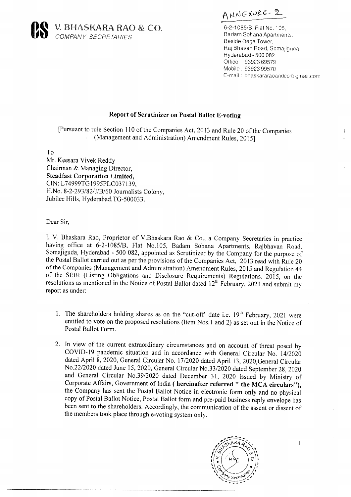

ANNEXURE- 2

6-2.1085/8, Ftat No, <sup>105</sup> Badam Sohana Apartments Beside Dega Tower, Raj Bhavan Road, Somajiguca, Hyderabad. 500 082. Office: 93923 69579 Mobile : 93923 99570 E-mail : bhaskararaoandco@ grnail.conr

## Report of Scrutinizer on Postal Ballot E-voting

[Pursuant to rule Section I l0 of the Companies Act,20l3 and Rule 20 of the Companies (Management and Administration) Amendment Rules, 2OISI

To

Mr. Keesara Vivek Reddy Chairman & Managing Director, Steadfast Corporation Limited, CIN: L74999TG1995PLC037139. H.No. 8-2-293/82/J/B/60 Journalists Colony, Jubilee Hills, Hyderabad,TG-500033.

Dear Sir,

I, V. Bhaskara Rao, Proprietor of V.Bhaskara Rao & Co., a Company Secretaries in practice having office at 6-2-1085/8, Flat No.l05, Badam Sohana Apartments, Rajbhavan Road, Somajiguda, Hyderabad - 500 082, appointed as Scrutinizer by the Company for the purpose of the Postal Ballot carried out as per the provisions of the Companies Act, 2013 read with Rule 20 of the Companies (Management and Administration) Amendment Rules, 2015 and Regulation 44 of the SEBI (Listing Obligations and Disclosure Requirements) Regulations, 2015, on the resolutions as mentioned in the Notice of Postal Ballot dated  $12<sup>th</sup>$  February, 2021 and submit my report as under:

- 1. The shareholders holding shares as on the "cut-off" date i.e.  $19<sup>th</sup>$  February, 2021 were entitled to vote on the proposed resolutions (ltem Nos.l and 2) as set out in the Notice of Postal Ballot Form.
- 2. In view of the current extraordinary circumstances and on account of threat posed by COVID-19 pandemic situation and in accordance with General Circular No. 14/2020 dated April 8, 2020, General Circular No. l712020 dated April 13, 2020,General Circular No.22/2020 dated June 15,2020, General Circular No.33/2020 dated September 28, 2020 and General Circular No.39/2020 dated December 31, 2020 issued by Ministry of Corporate Affairs, Government of India ( hereinafter referred " the MCA circulars"), the Company has sent the Postal Ballot Notice in electronic form only and no physicat copy of Postal Ballot Notice, Postal Ballot form and pre-paid business reply envelope has been sent to the shareholders. Accordingly, the communication of the assent or dissent of the members took place through e-voting system only.



 $\mathbf{I}$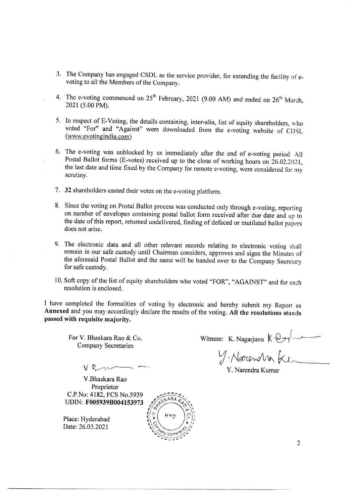- 3. The Company has engaged CSDL as the service provider, for extending the facility ol'e- voting to all the Members of the Company.
- 4. The e-voting commenced on  $25^{th}$  February, 2021 (9.00 AM) and ended on  $26^{th}$  March, 2021 (5.00 PM).
- 5. In respect of E-Voting, the details containing, inter-alia, list of equity shareholders, who voted "For" and "Against" were downloaded from the e-voting- website of CDSL (www.evotingindia.com)
- 6. The e-voting was unblocked by us immediately after the end of e-voting period. All Postal Ballot forms (E-votes) received up to the close of working hours on 26.02.2021, the last date and time fixed by the Company for r
- 7. 32 shareholders casted their votes on the e-voting platform.
- 8. Since the voting on Postal Ballot process was conducted only through e-voting, reporting on number of envelopes containing postal ballot form received after due date and up to the date of this report, returned undelivered, finding of defaced or mutilated ballot papers does not arise.
- 9. The electronic data and all other relevant records relating to electronic voting shall remain in our safe custody'until Chairman considers, approves and signs the Minutes of the aforesaid Postal Ballot and the same will be handed over to the Company Secretary for safe custody.
- 10. Soft copy of the list of equity shareholders who voted "FOR", "AGAINST" and for each resolution is enclosed.

<sup>I</sup>have completed the formalities of voting by electronic and hereby submit my Report as Annexed and you may accordingly declare the results of the voting. All the resoluiions stands passed with requisite majority.

For V. Bhaskara Rao & Co. Company Secretaries

Witness: K. Nagarjuna  $k \sqrt{2\pi}$ 

 $y$  Narenota Ke

Y. Narendra Kumar

 $V$   $R \rightarrow \sim$ .

V.Bhaskara Rao Proprietor C.P.No: 4l 82, FCS No.5939 UDIN: F0059398004153973

Place: Hyderabad Date: 26.03.2021

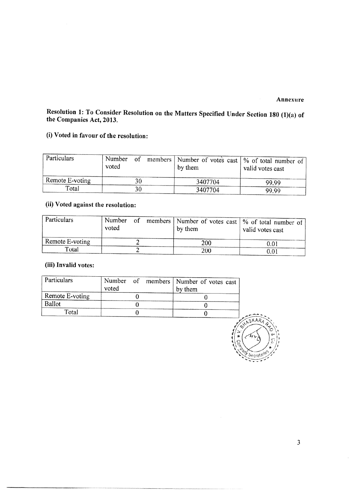## Annexure

# Resolution 1: To Consider Resolution on the Matters Specified Under Section 180 (1)(a) of the Companies Act, 2013.

## (i) Voted in favour of the resolution:

| Particulars     | Number of<br>voted |    | members   Number of votes cast   % of total number of<br>by them | valid votes cast |
|-----------------|--------------------|----|------------------------------------------------------------------|------------------|
| Remote E-voting |                    |    | 3407704                                                          | -99.99           |
| Total           |                    | 30 | 3407704                                                          | 99.99            |

# (ii) Voted against the resolution:

| Particulars                  | Number of<br>voted |  | by them    | members   Number of votes cast   % of total number of<br>valid votes cast |
|------------------------------|--------------------|--|------------|---------------------------------------------------------------------------|
| $\mathsf{R}$ Remote E-voting |                    |  | 200        | 0.01                                                                      |
| Total                        |                    |  | <b>200</b> | 0.01                                                                      |

## (iii) Invalid votes:

| Particulars     | voted |  | Number of members   Number of votes cast<br>by them |
|-----------------|-------|--|-----------------------------------------------------|
| Remote E-voting |       |  |                                                     |
| Ballot          |       |  |                                                     |
| Total           |       |  |                                                     |



 $\overline{3}$